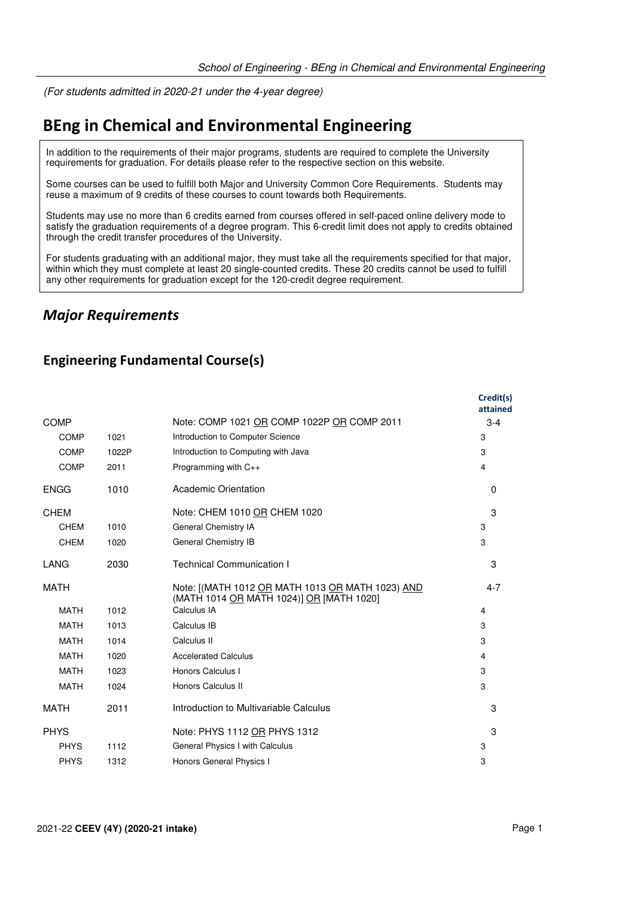(For students admitted in 2020-21 under the 4-year degree)

# **BEng in Chemical and Environmental Engineering**

In addition to the requirements of their major programs, students are required to complete the University requirements for graduation. For details please refer to the respective section on this website.

Some courses can be used to fulfill both Major and University Common Core Requirements. Students may reuse a maximum of 9 credits of these courses to count towards both Requirements.

Students may use no more than 6 credits earned from courses offered in self-paced online delivery mode to satisfy the graduation requirements of a degree program. This 6-credit limit does not apply to credits obtained through the credit transfer procedures of the University.

For students graduating with an additional major, they must take all the requirements specified for that major, within which they must complete at least 20 single-counted credits. These 20 credits cannot be used to fulfill any other requirements for graduation except for the 120-credit degree requirement.

### *Major Requirements*

#### **Engineering Fundamental Course(s)**

|             |       |                                                                                              | Credit(s)<br>attained |
|-------------|-------|----------------------------------------------------------------------------------------------|-----------------------|
| COMP        |       | Note: COMP 1021 OR COMP 1022P OR COMP 2011                                                   | $3 - 4$               |
| <b>COMP</b> | 1021  | Introduction to Computer Science                                                             | 3                     |
| <b>COMP</b> | 1022P | Introduction to Computing with Java                                                          | 3                     |
| <b>COMP</b> | 2011  | Programming with C++                                                                         | 4                     |
| <b>ENGG</b> | 1010  | Academic Orientation                                                                         | $\Omega$              |
| <b>CHEM</b> |       | Note: CHEM 1010 OR CHEM 1020                                                                 | 3                     |
| <b>CHEM</b> | 1010  | General Chemistry IA                                                                         | 3                     |
| <b>CHEM</b> | 1020  | General Chemistry IB                                                                         | 3                     |
| LANG        | 2030  | <b>Technical Communication I</b>                                                             | 3                     |
| <b>MATH</b> |       | Note: [(MATH 1012 OR MATH 1013 OR MATH 1023) AND<br>(MATH 1014 OR MATH 1024)] OR [MATH 1020] | $4 - 7$               |
| <b>MATH</b> | 1012  | Calculus IA                                                                                  | 4                     |
| <b>MATH</b> | 1013  | Calculus IB                                                                                  | 3                     |
| <b>MATH</b> | 1014  | Calculus II                                                                                  | 3                     |
| <b>MATH</b> | 1020  | <b>Accelerated Calculus</b>                                                                  | 4                     |
| <b>MATH</b> | 1023  | Honors Calculus I                                                                            | 3                     |
| <b>MATH</b> | 1024  | Honors Calculus II                                                                           | 3                     |
| <b>MATH</b> | 2011  | Introduction to Multivariable Calculus                                                       | 3                     |
| <b>PHYS</b> |       | Note: PHYS 1112 OR PHYS 1312                                                                 | 3                     |
| <b>PHYS</b> | 1112  | General Physics I with Calculus                                                              | 3                     |
| <b>PHYS</b> | 1312  | Honors General Physics I                                                                     | 3                     |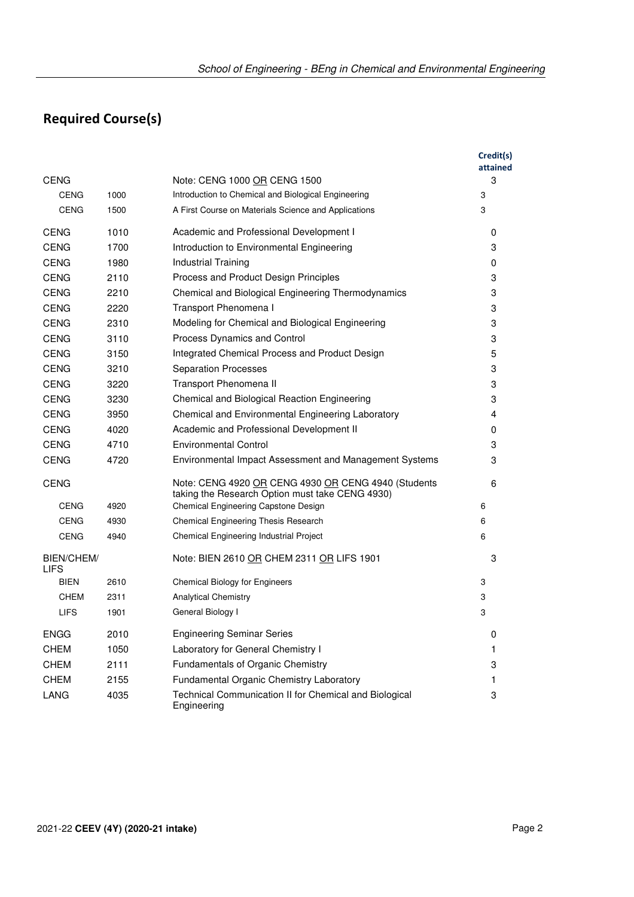# **Required Course(s)**

|                                  |      |                                                                                                        | Credit(s)<br>attained |
|----------------------------------|------|--------------------------------------------------------------------------------------------------------|-----------------------|
| <b>CENG</b>                      |      | Note: CENG 1000 OR CENG 1500                                                                           | 3                     |
| <b>CENG</b>                      | 1000 | Introduction to Chemical and Biological Engineering                                                    | 3                     |
| <b>CENG</b>                      | 1500 | A First Course on Materials Science and Applications                                                   | 3                     |
| <b>CENG</b>                      | 1010 | Academic and Professional Development I                                                                | 0                     |
| <b>CENG</b>                      | 1700 | Introduction to Environmental Engineering                                                              | 3                     |
| <b>CENG</b>                      | 1980 | Industrial Training                                                                                    | 0                     |
| <b>CENG</b>                      | 2110 | Process and Product Design Principles                                                                  | 3                     |
| <b>CENG</b>                      | 2210 | Chemical and Biological Engineering Thermodynamics                                                     | 3                     |
| <b>CENG</b>                      | 2220 | Transport Phenomena I                                                                                  | 3                     |
| <b>CENG</b>                      | 2310 | Modeling for Chemical and Biological Engineering                                                       | 3                     |
| <b>CENG</b>                      | 3110 | Process Dynamics and Control                                                                           | 3                     |
| <b>CENG</b>                      | 3150 | Integrated Chemical Process and Product Design                                                         | 5                     |
| <b>CENG</b>                      | 3210 | <b>Separation Processes</b>                                                                            | 3                     |
| <b>CENG</b>                      | 3220 | Transport Phenomena II                                                                                 | 3                     |
| <b>CENG</b>                      | 3230 | Chemical and Biological Reaction Engineering                                                           | 3                     |
| <b>CENG</b>                      | 3950 | Chemical and Environmental Engineering Laboratory                                                      | $\overline{4}$        |
| <b>CENG</b>                      | 4020 | Academic and Professional Development II                                                               | 0                     |
| <b>CENG</b>                      | 4710 | Environmental Control                                                                                  | 3                     |
| <b>CENG</b>                      | 4720 | Environmental Impact Assessment and Management Systems                                                 | 3                     |
| <b>CENG</b>                      |      | Note: CENG 4920 OR CENG 4930 OR CENG 4940 (Students<br>taking the Research Option must take CENG 4930) | 6                     |
| <b>CENG</b>                      | 4920 | Chemical Engineering Capstone Design                                                                   | 6                     |
| <b>CENG</b>                      | 4930 | Chemical Engineering Thesis Research                                                                   | 6                     |
| <b>CENG</b>                      | 4940 | Chemical Engineering Industrial Project                                                                | 6                     |
| <b>BIEN/CHEM/</b><br><b>LIFS</b> |      | Note: BIEN 2610 OR CHEM 2311 OR LIFS 1901                                                              | 3                     |
| <b>BIEN</b>                      | 2610 | <b>Chemical Biology for Engineers</b>                                                                  | 3                     |
| <b>CHEM</b>                      | 2311 | <b>Analytical Chemistry</b>                                                                            | 3                     |
| <b>LIFS</b>                      | 1901 | General Biology I                                                                                      | 3                     |
| <b>ENGG</b>                      | 2010 | <b>Engineering Seminar Series</b>                                                                      | 0                     |
| <b>CHEM</b>                      | 1050 | Laboratory for General Chemistry I                                                                     | 1                     |
| <b>CHEM</b>                      | 2111 | Fundamentals of Organic Chemistry                                                                      | 3                     |
| <b>CHEM</b>                      | 2155 | Fundamental Organic Chemistry Laboratory                                                               | 1                     |
| LANG                             | 4035 | Technical Communication II for Chemical and Biological<br>Engineering                                  | 3                     |